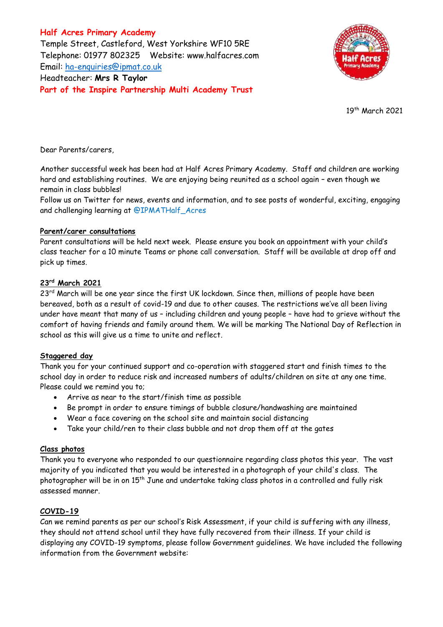**Half Acres Primary Academy** Temple Street, Castleford, West Yorkshire WF10 5RE Telephone: 01977 802325 Website: [www.halfacres.com](http://www.halfacres.com/) Email: [ha-enquiries@ipmat.co.uk](mailto:ha-enquiries@ipmat.co.uk) Headteacher: **Mrs R Taylor Part of the Inspire Partnership Multi Academy Trust**



19 th March 2021

Dear Parents/carers,

Another successful week has been had at Half Acres Primary Academy. Staff and children are working hard and establishing routines. We are enjoying being reunited as a school again – even though we remain in class bubbles!

Follow us on Twitter for news, events and information, and to see posts of wonderful, exciting, engaging and challenging learning at @IPMATHalf\_Acres

### **Parent/carer consultations**

Parent consultations will be held next week. Please ensure you book an appointment with your child's class teacher for a 10 minute Teams or phone call conversation. Staff will be available at drop off and pick up times.

### **23rd March 2021**

23<sup>rd</sup> March will be one year since the first UK lockdown. Since then, millions of people have been bereaved, both as a result of covid-19 and due to other causes. The restrictions we've all been living under have meant that many of us – including children and young people – have had to grieve without the comfort of having friends and family around them. We will be marking The National Day of Reflection in school as this will give us a time to unite and reflect.

# **Staggered day**

Thank you for your continued support and co-operation with staggered start and finish times to the school day in order to reduce risk and increased numbers of adults/children on site at any one time. Please could we remind you to;

- Arrive as near to the start/finish time as possible
- Be prompt in order to ensure timings of bubble closure/handwashing are maintained
- Wear a face covering on the school site and maintain social distancing
- Take your child/ren to their class bubble and not drop them off at the gates

# **Class photos**

Thank you to everyone who responded to our questionnaire regarding class photos this year. The vast majority of you indicated that you would be interested in a photograph of your child's class. The photographer will be in on 15<sup>th</sup> June and undertake taking class photos in a controlled and fully risk assessed manner.

# **COVID-19**

Can we remind parents as per our school's Risk Assessment, if your child is suffering with any illness, they should not attend school until they have fully recovered from their illness. If your child is displaying any COVID-19 symptoms, please follow Government guidelines. We have included the following information from the Government website: